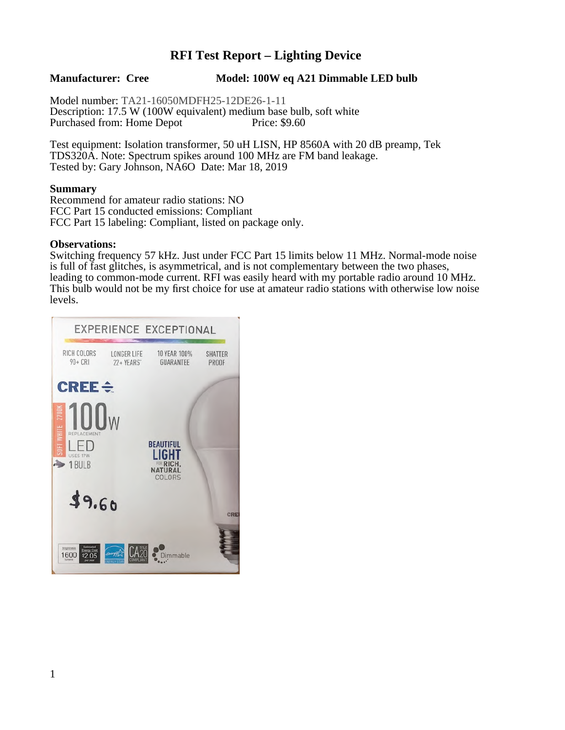# **RFI Test Report – Lighting Device**

**Manufacturer: Cree Model: 100W eq A21 Dimmable LED bulb**

Model number: TA21-16050MDFH25-12DE26-1-11 Description: 17.5 W (100W equivalent) medium base bulb, soft white Purchased from: Home Depot

Test equipment: Isolation transformer, 50 uH LISN, HP 8560A with 20 dB preamp, Tek TDS320A. Note: Spectrum spikes around 100 MHz are FM band leakage. Tested by: Gary Johnson, NA6O Date: Mar 18, 2019

## **Summary**

Recommend for amateur radio stations: NO FCC Part 15 conducted emissions: Compliant FCC Part 15 labeling: Compliant, listed on package only.

#### **Observations:**

Switching frequency 57 kHz. Just under FCC Part 15 limits below 11 MHz. Normal-mode noise is full of fast glitches, is asymmetrical, and is not complementary between the two phases, leading to common-mode current. RFI was easily heard with my portable radio around 10 MHz. This bulb would not be my first choice for use at amateur radio stations with otherwise low noise levels.

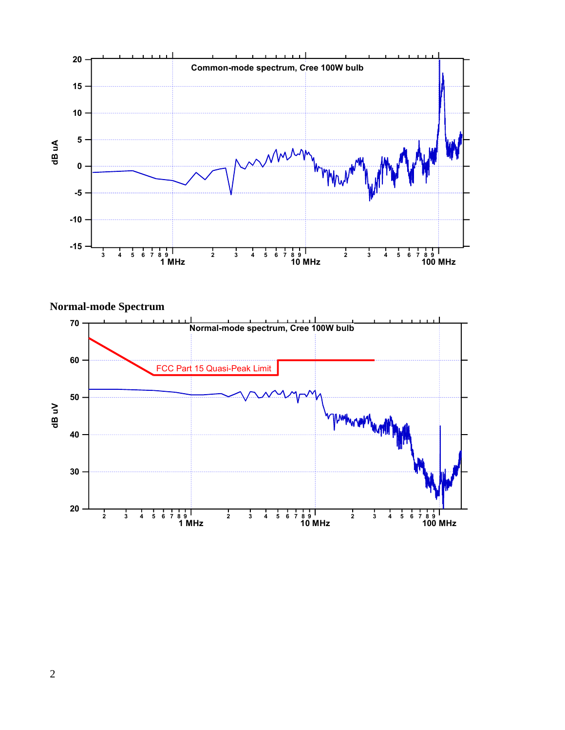

**Normal-mode Spectrum**